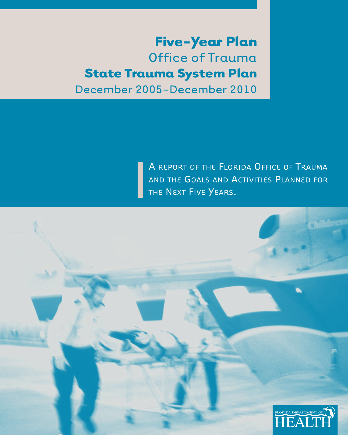# **Five-Year Plan** Office of Trauma **State Trauma System Plan** December 2005-December 2010

A REPORT OF THE FLORIDA OFFICE OF TRAUMA AND THE GOALS AND ACTIVITIES PLANNED FOR THE NEXT FIVE YEARS.

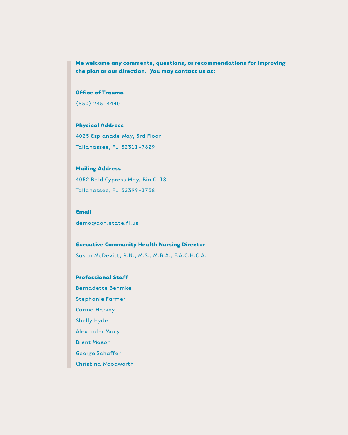**We welcome any comments, questions, or recommendations for improving the plan or our direction. You may contact us at:**

#### **Office of Trauma**

(850) 245-4440

#### **Physical Address**

4025 Esplanade Way, 3rd Floor Tallahassee, FL 32311-7829

#### **Mailing Address**

4052 Bald Cypress Way, Bin C-18 Tallahassee, FL 32399-1738

#### **Email**

demo@doh.state.fl.us

#### **Executive Community Health Nursing Director**

Susan McDevitt, R.N., M.S., M.B.A., F.A.C.H.C.A.

#### **Professional Staff**

Bernadette Behmke

Stephanie Farmer

Carma Harvey

Shelly Hyde

Alexander Macy

Brent Mason

George Schaffer

Christina Woodworth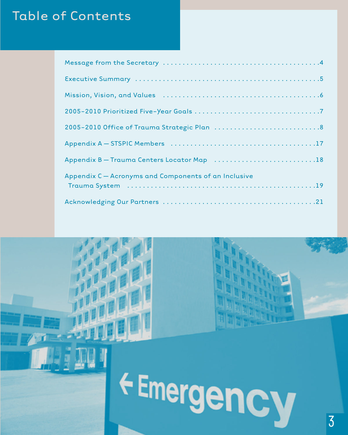# Table of Contents

| Mission, Vision, and Values (and all contained all contained and Mission, University Andrews, 2014)                                                                      |
|--------------------------------------------------------------------------------------------------------------------------------------------------------------------------|
|                                                                                                                                                                          |
|                                                                                                                                                                          |
|                                                                                                                                                                          |
| Appendix B - Trauma Centers Locator Map 18                                                                                                                               |
| Appendix C - Acronyms and Components of an Inclusive<br>Trauma System (and all and all and all and all and all and all and all and all and all and all and all and all a |
|                                                                                                                                                                          |

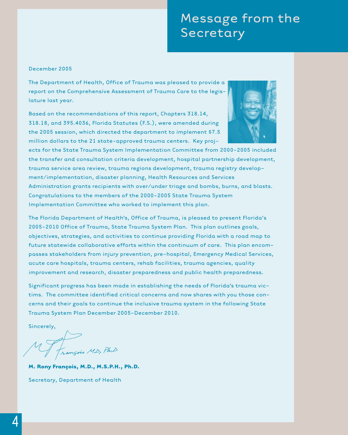# Message from the Secretary

#### December 2005

The Department of Health, Office of Trauma was pleased to provide a report on the Comprehensive Assessment of Trauma Care to the legislature last year.

Based on the recommendations of this report, Chapters 318.14, 318.18, and 395.4036, Florida Statutes (F.S.), were amended during the 2005 session, which directed the department to implement \$7.5 million dollars to the 21 state-approved trauma centers. Key proj-



ects for the State Trauma System Implementation Committee from 2000-2005 included the transfer and consultation criteria development, hospital partnership development, trauma service area review, trauma regions development, trauma registry development/implementation, disaster planning, Health Resources and Services Administration grants recipients with over/under triage and bombs, burns, and blasts. Congratulations to the members of the 2000-2005 State Trauma System Implementation Committee who worked to implement this plan.

The Florida Department of Health's, Office of Trauma, is pleased to present Florida's 2005-2010 Office of Trauma, State Trauma System Plan. This plan outlines goals, objectives, strategies, and activities to continue providing Florida with a road map to future statewide collaborative efforts within the continuum of care. This plan encompasses stakeholders from injury prevention, pre-hospital, Emergency Medical Services, acute care hospitals, trauma centers, rehab facilities, trauma agencies, quality improvement and research, disaster preparedness and public health preparedness.

Significant progress has been made in establishing the needs of Florida's trauma victims. The committee identified critical concerns and now shares with you those concerns and their goals to continue the inclusive trauma system in the following State Trauma System Plan December 2005-December 2010.

Sincerely,

of<br>rançois MD, PhD

**M. Rony François, M.D., M.S.P.H., Ph.D.**

Secretary, Department of Health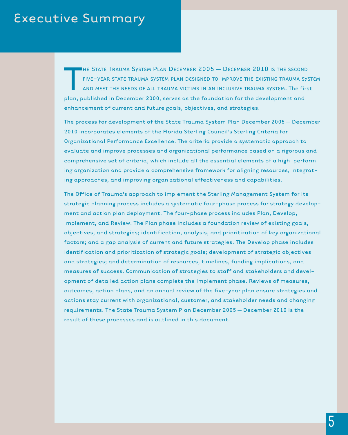# Executive Summary

T HE STATE TRAUMA SYSTEM PLAN DECEMBER  $2005 -$  December  $2010$  is the second FIVE-YEAR STATE TRAUMA SYSTEM PLAN DESIGNED TO IMPROVE THE EXISTING TRAUMA SYSTEM AND MEET THE NEEDS OF ALL TRAUMA VICTIMS IN AN INCLUSIVE TRAUMA SYSTEM. The first plan, published in December 2000, serves as the foundation for the development and enhancement of current and future goals, objectives, and strategies.

The process for development of the State Trauma System Plan December 2005 – December 2010 incorporates elements of the Florida Sterling Council's Sterling Criteria for Organizational Performance Excellence. The criteria provide a systematic approach to evaluate and improve processes and organizational performance based on a rigorous and comprehensive set of criteria, which include all the essential elements of a high-performing organization and provide a comprehensive framework for aligning resources, integrating approaches, and improving organizational effectiveness and capabilities.

The Office of Trauma's approach to implement the Sterling Management System for its strategic planning process includes a systematic four-phase process for strategy development and action plan deployment. The four-phase process includes Plan, Develop, Implement, and Review. The Plan phase includes a foundation review of existing goals, objectives, and strategies; identification, analysis, and prioritization of key organizational factors; and a gap analysis of current and future strategies. The Develop phase includes identification and prioritization of strategic goals; development of strategic objectives and strategies; and determination of resources, timelines, funding implications, and measures of success. Communication of strategies to staff and stakeholders and development of detailed action plans complete the Implement phase. Reviews of measures, outcomes, action plans, and an annual review of the five-year plan ensure strategies and actions stay current with organizational, customer, and stakeholder needs and changing requirements. The State Trauma System Plan December 2005 – December 2010 is the result of these processes and is outlined in this document.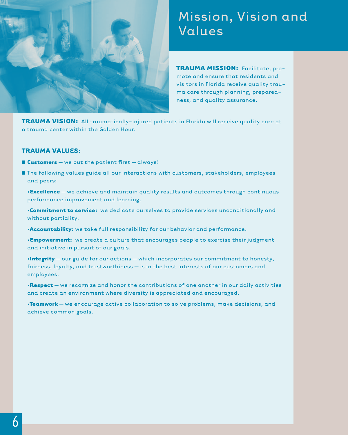

# Mission, Vision and Values

**TRAUMA MISSION:** Facilitate, promote and ensure that residents and visitors in Florida receive quality trauma care through planning, preparedness, and quality assurance.

**TRAUMA VISION:** All traumatically-injured patients in Florida will receive quality care at a trauma center within the Golden Hour.

#### **TRAUMA VALUES:**

- **■ Customers** we put the patient first always!
- The following values guide all our interactions with customers, stakeholders, employees and peers:
	- •**Excellence** we achieve and maintain quality results and outcomes through continuous performance improvement and learning.
	- •**Commitment to service:** we dedicate ourselves to provide services unconditionally and without partiality.
	- •**Accountability:** we take full responsibility for our behavior and performance.
	- •**Empowerment:** we create a culture that encourages people to exercise their judgment and initiative in pursuit of our goals.
	- •**Integrity**  our guide for our actions which incorporates our commitment to honesty, fairness, loyalty, and trustworthiness – is in the best interests of our customers and employees.
	- •**Respect** we recognize and honor the contributions of one another in our daily activities and create an environment where diversity is appreciated and encouraged.
	- •**Teamwork**  we encourage active collaboration to solve problems, make decisions, and achieve common goals.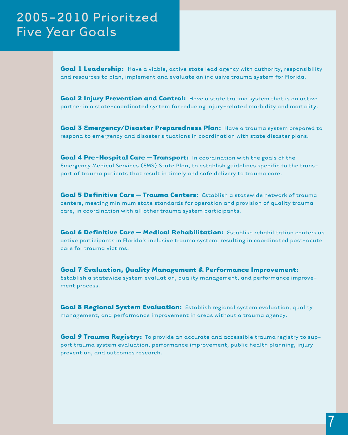# 2005-2010 Prioritzed Five Year Goals

**Goal 1 Leadership:** Have a viable, active state lead agency with authority, responsibility and resources to plan, implement and evaluate an inclusive trauma system for Florida.

**Goal 2 Injury Prevention and Control:** Have a state trauma system that is an active partner in a state-coordinated system for reducing injury-related morbidity and mortality.

**Goal 3 Emergency/Disaster Preparedness Plan:** Have a trauma system prepared to respond to emergency and disaster situations in coordination with state disaster plans.

**Goal 4 Pre-Hospital Care – Transport:** In coordination with the goals of the Emergency Medical Services (EMS) State Plan, to establish guidelines specific to the transport of trauma patients that result in timely and safe delivery to trauma care.

**Goal 5 Definitive Care – Trauma Centers:** Establish a statewide network of trauma centers, meeting minimum state standards for operation and provision of quality trauma care, in coordination with all other trauma system participants.

**Goal 6 Definitive Care – Medical Rehabilitation:** Establish rehabilitation centers as active participants in Florida's inclusive trauma system, resulting in coordinated post-acute care for trauma victims.

**Goal 7 Evaluation, Quality Management & Performance Improvement:** Establish a statewide system evaluation, quality management, and performance improvement process.

**Goal 8 Regional System Evaluation:** Establish regional system evaluation, quality management, and performance improvement in areas without a trauma agency.

**Goal 9 Trauma Registry:** To provide an accurate and accessible trauma registry to support trauma system evaluation, performance improvement, public health planning, injury prevention, and outcomes research.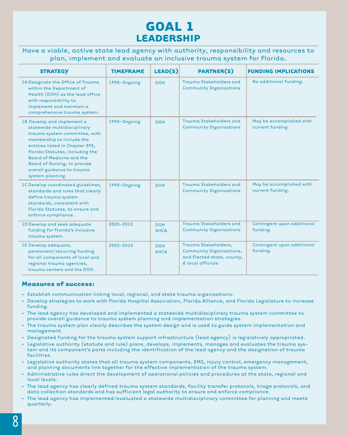### **GOAL 1 LEADERSHIP**

Have a viable, active state lead agency with authority, responsibility and resources to plan, implement and evaluate an inclusive trauma system for Florida.

| <b>STRATEGY</b>                                                                                                                                                                                                                                                                                                     | <b>TIMEFRAME</b> | LEAD(S)                   | <b>PARTNER(S)</b>                                                                                          | <b>FUNDING IMPLICATIONS</b>                  |
|---------------------------------------------------------------------------------------------------------------------------------------------------------------------------------------------------------------------------------------------------------------------------------------------------------------------|------------------|---------------------------|------------------------------------------------------------------------------------------------------------|----------------------------------------------|
| 1A Designate the Office of Trauma<br>within the Department of<br>Health (DOH) as the lead office<br>with responsibility to<br>implement and maintain a<br>comprehensive trauma system.                                                                                                                              | 1998-Ongoing     | <b>DOH</b>                | Trauma Stakeholders and<br><b>Community Organizations</b>                                                  | No additional funding.                       |
| 1B Develop and implement a<br>statewide multidisciplinary<br>trauma system committee, with<br>membership to include the<br>entities listed in Chapter 395,<br>Florida Statutes, including the<br><b>Board of Medicine and the</b><br>Board of Nursing, to provide<br>overall guidance to trauma<br>system planning. | 1998-Ongoing     | <b>DOH</b>                | Trauma Stakeholders and<br><b>Community Organizations</b>                                                  | May be accomplished with<br>current funding. |
| IC Develop coordinated guidelines,<br>standards and rules that clearly<br>define trauma system<br>standards, consistent with<br>Florida Statutes, to ensure and<br>enforce compliance.                                                                                                                              | 1998-Ongoing     | <b>DOH</b>                | Trauma Stakeholders and<br><b>Community Organizations</b>                                                  | May be accomplished with<br>current funding. |
| 1D Develop and seek adequate<br>funding for Florida's inclusive<br>trauma system.                                                                                                                                                                                                                                   | $2005 - 2010$    | <b>DOH</b><br><b>AHCA</b> | Trauma Stakeholders and<br><b>Community Organizations</b>                                                  | Contingent upon additional<br>funding.       |
| 18 Develop adequate,<br>permanent/recurring funding<br>for all components of local and<br>regional trauma agencies,<br>trauma centers and the DOH.                                                                                                                                                                  | $2005 - 2010$    | <b>DOH</b><br><b>AHCA</b> | Trauma Stakeholders,<br><b>Community Organizations,</b><br>and Elected state, county,<br>& local officials | Contingent upon additional<br>funding.       |

- Establish communication linking local, regional, and state trauma organizations.
- Develop strategies to work with Florida Hospital Association, Florida Alliance, and Florida Legislature to increase funding.
- The lead agency has developed and implemented a statewide multidisciplinary trauma system committee to provide overall guidance to trauma system planning and implementation strategies.
- The trauma system plan clearly describes the system design and is used to guide system implementation and management.
- Designated funding for the trauma system support infrastructure (lead agency) is legislatively appropriated.
- Legislative authority (statute and rule) plans, develops, implements, manages and evaluates the trauma system and its component's parts including the identification of the lead agency and the designation of trauma facilities.
- Legislative authority states that all trauma system components, EMS, injury control, emergency management, and planning documents link together for the effective implementation of the trauma system.
- Administrative rules direct the development of operational policies and procedures at the state, regional and local levels.
- The lead agency has clearly defined trauma system standards, facility transfer protocols, triage protocols, and data collection standards and has sufficient legal authority to ensure and enforce compliance.
- The lead agency has implemented/evaluated a statewide multidisciplinary committee for planning and meets quarterly.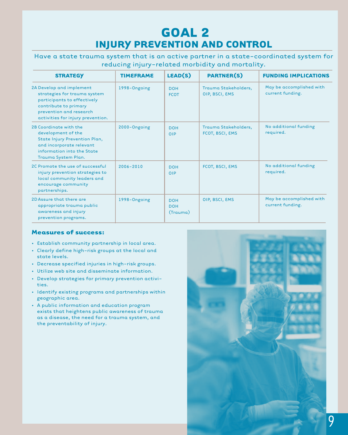### **GOAL 2 INJURY PREVENTION AND CONTROL**

Have a state trauma system that is an active partner in a state-coordinated system for reducing injury-related morbidity and mortality.

| <b>STRATEGY</b>                                                                                                                                                                  | <b>TIMEFRAME</b> | LEAD(S)                              | <b>PARTNER(S)</b>                       | <b>FUNDING IMPLICATIONS</b>                  |
|----------------------------------------------------------------------------------------------------------------------------------------------------------------------------------|------------------|--------------------------------------|-----------------------------------------|----------------------------------------------|
| 2A Develop and implement<br>strategies for trauma system<br>participants to effectively<br>contribute to primary<br>prevention and research<br>activities for injury prevention. | 1998-Ongoing     | <b>DOH</b><br><b>FCOT</b>            | Trauma Stakeholders,<br>OIP, BSCI, EMS  | May be accomplished with<br>current funding. |
| 2B Coordinate with the<br>development of the<br>State Injury Prevention Plan,<br>and incorporate relevant<br>information into the State<br>Trauma System Plan.                   | 2000-Ongoing     | <b>DOH</b><br>OIP                    | Trauma Stakeholders,<br>FCOT, BSCI, EMS | No additional funding<br>required.           |
| 2C Promote the use of successful<br>injury prevention strategies to<br>local community leaders and<br>encourage community<br>partnerships.                                       | 2006-2010        | <b>DOH</b><br><b>OIP</b>             | FCOT, BSCI, EMS                         | No additional funding<br>required.           |
| 2D Assure that there are<br>appropriate trauma public<br>awareness and injury<br>prevention programs.                                                                            | 1998-Ongoing     | <b>DOH</b><br><b>DOH</b><br>(Trauma) | OIP, BSCI, EMS                          | May be accomplished with<br>current funding. |

- Establish community partnership in local area.
- Clearly define high-risk groups at the local and state levels.
- Decrease specified injuries in high-risk groups.
- Utilize web site and disseminate information.
- Develop strategies for primary prevention activities.
- Identify existing programs and partnerships within geographic area.
- A public information and education program exists that heightens public awareness of trauma as a disease, the need for a trauma system, and the preventability of injury.

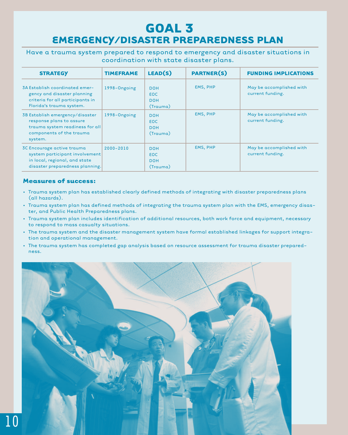### **GOAL 3 EMERGENCY/DISASTER PREPAREDNESS PLAN**

Have a trauma system prepared to respond to emergency and disaster situations in coordination with state disaster plans.

| <b>STRATEGY</b>                                                                                                                       | <b>TIMEFRAME</b> | LEAD(S)                                            | <b>PARTNER(S)</b> | <b>FUNDING IMPLICATIONS</b>                  |
|---------------------------------------------------------------------------------------------------------------------------------------|------------------|----------------------------------------------------|-------------------|----------------------------------------------|
| 3A Establish coordinated emer-<br>gency and disaster planning<br>criteria for all participants in<br>Florida's trauma system.         | 1998-Ongoing     | <b>DOH</b><br><b>EOC</b><br><b>DOH</b><br>(Trauma) | <b>EMS, PHP</b>   | May be accomplished with<br>current funding. |
| 3B Establish emergency/disaster<br>response plans to assure<br>trauma system readiness for all<br>components of the trauma<br>system. | 1998-Ongoing     | <b>DOH</b><br><b>EOC</b><br><b>DOH</b><br>(Trauma) | <b>EMS, PHP</b>   | May be accomplished with<br>current funding. |
| 3C Encourage active trauma<br>system participant involvement<br>in local, regional, and state<br>disaster preparedness planning.      | $2000 - 2010$    | <b>DOH</b><br><b>EOC</b><br><b>DOH</b><br>(Trauma) | <b>EMS, PHP</b>   | May be accomplished with<br>current funding. |

- Trauma system plan has established clearly defined methods of integrating with disaster preparedness plans (all hazards).
- Trauma system plan has defined methods of integrating the trauma system plan with the EMS, emergency disaster, and Public Health Preparedness plans.
- Trauma system plan includes identification of additional resources, both work force and equipment, necessary to respond to mass casualty situations.
- The trauma system and the disaster management system have formal established linkages for support integration and operational management.
- The trauma system has completed gap analysis based on resource assessment for trauma disaster preparedness.

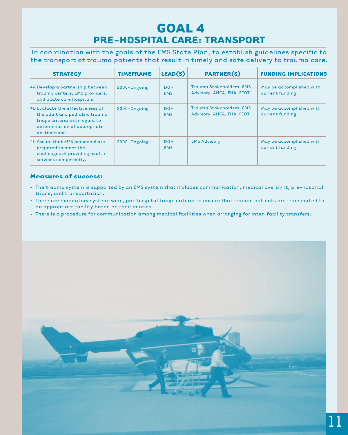### **GOAL 4 PRE-HOSPITAL CARE: TRANSPORT**

In coordination with the goals of the EMS State Plan, to establish guidelines specific to the transport of trauma patients that result in timely and safe delivery to trauma care.

| <b>STRATEGY</b>                                                                                                                                       | <b>TIMEFRAME</b> | LEAD(S)                  | <b>PARTNER(S)</b>                                     | <b>FUNDING IMPLICATIONS</b>                  |
|-------------------------------------------------------------------------------------------------------------------------------------------------------|------------------|--------------------------|-------------------------------------------------------|----------------------------------------------|
| 4A Develop a partnership between<br>trauma centers, EMS providers,<br>and acute care hospitals.                                                       | 2000-Ongoing     | <b>DOH</b><br><b>EMS</b> | Trauma Stakeholders, EMS<br>Advisory, AHCA, FHA, FCOT | May be accomplished with<br>current funding. |
| 4B Evaluate the effectiveness of<br>the adult and pediatric trauma<br>triage criteria with regard to<br>determination of appropriate<br>destinations. | 2000-Ongoing     | <b>DOH</b><br><b>EMS</b> | Trauma Stakeholders, EMS<br>Advisory, AHCA, FHA, FCOT | May be accomplished with<br>current funding. |
| 4C Assure that EMS personnel are<br>prepared to meet the<br>challenges of providing health<br>services competently.                                   | 2000-Ongoing     | <b>DOH</b><br><b>EMS</b> | <b>EMS Advisory</b>                                   | May be accomplished with<br>current funding. |

- The trauma system is supported by an EMS system that includes communication, medical oversight, pre-hospital triage, and transportation.
- There are mandatory system-wide, pre-hospital triage criteria to ensure that trauma patients are transported to an appropriate facility based on their injuries.
- There is a procedure for communication among medical facilities when arranging for inter-facility transfers.

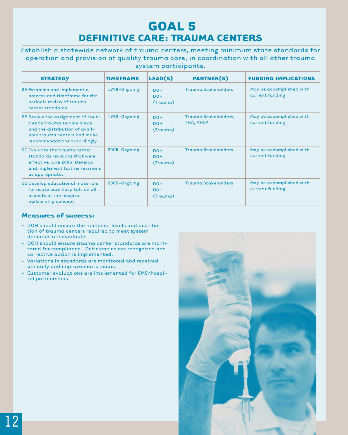### **GOAL 5 DEFINITIVE CARE: TRAUMA CENTERS**

Establish a statewide network of trauma centers, meeting minimum state standards for operation and provision of quality trauma care, in coordination with all other trauma system participants.

| <b>STRATEGY</b>                                                                                                                                                     | <b>TIMEFRAME</b> | LEAD(S)                              | <b>PARTNER(S)</b>                 | <b>FUNDING IMPLICATIONS</b>                  |
|---------------------------------------------------------------------------------------------------------------------------------------------------------------------|------------------|--------------------------------------|-----------------------------------|----------------------------------------------|
| 5A Establish and implement a<br>process and timeframe for the<br>periodic review of trauma<br>center standards.                                                     | 1998-Ongoing     | <b>DOH</b><br><b>DOH</b><br>(Trauma) | <b>Trauma Stakeholders</b>        | May be accomplished with<br>current funding. |
| 5B Review the assignment of coun-<br>ties to trauma service areas<br>and the distribution of avail-<br>able trauma centers and make<br>recommendations accordingly. | 1998-Ongoing     | <b>DOH</b><br><b>DOH</b><br>(Trauma) | Trauma Stakeholders,<br>FHA, AHCA | May be accomplished with<br>current funding. |
| 5C Evaluate the trauma center<br>standards revisions that were<br>effective June 2005. Develop<br>and implement further revisions<br>as appropriate.                | 2005-Ongoing     | <b>DOH</b><br><b>DOH</b><br>(Trauma) | <b>Trauma Stakeholders</b>        | May be accomplished with<br>current funding. |
| 5D Develop educational materials<br>for acute care hospitals on all<br>aspects of the hospital<br>partnership concept.                                              | 2005-Ongoing     | <b>DOH</b><br><b>DOH</b><br>(Trauma) | <b>Trauma Stakeholders</b>        | May be accomplished with<br>current funding. |

- DOH should ensure the numbers, levels and distribution of trauma centers required to meet system demands are available.
- DOH should ensure trauma center standards are monitored for compliance. Deficiencies are recognized and corrective action is implemented.
- Variations in standards are monitored and received annually and improvements made.
- Customer evaluations are implemented for EMS/hospital partnerships.

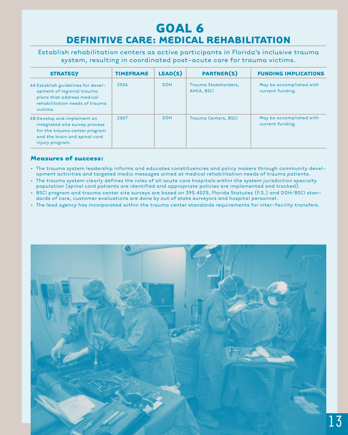### **GOAL 6 DEFINITIVE CARE: MEDICAL REHABILITATION**

Establish rehabilitation centers as active participants in Florida's inclusive trauma system, resulting in coordinated post-acute care for trauma victims.

| <b>STRATEGY</b>                                                                                                                                    | <b>TIMEFRAME</b> | LEAD(S)    | <b>PARTNER(S)</b>                         | <b>FUNDING IMPLICATIONS</b>                  |
|----------------------------------------------------------------------------------------------------------------------------------------------------|------------------|------------|-------------------------------------------|----------------------------------------------|
| 6A Establish guidelines for devel-<br>opment of regional trauma<br>plans that address medical<br>rehabilitation needs of trauma<br>victims.        | 2006             | <b>DOH</b> | Trauma Stakeholders,<br><b>AHCA, BSCI</b> | May be accomplished with<br>current funding. |
| 6B Develop and implement an<br>integrated site survey process<br>for the trauma center program<br>and the brain and spinal cord<br>injury program. | 2007             | <b>DOH</b> | <b>Trauma Centers, BSCI</b>               | May be accomplished with<br>current funding. |

- The trauma system leadership informs and educates constituencies and policy makers through community development activities and targeted media messages aimed at medical rehabilitation needs of trauma patients.
- The trauma system clearly defines the roles of all acute care hospitals within the system jurisdiction specialty population (spinal cord patients are identified and appropriate policies are implemented and tracked).
- BSCI program and trauma center site surveys are based on 395.4025, Florida Statutes (F.S.) and DOH/BSCI standards of care, customer evaluations are done by out of state surveyors and hospital personnel.
- The lead agency has incorporated within the trauma center standards requirements for inter-facility transfers.

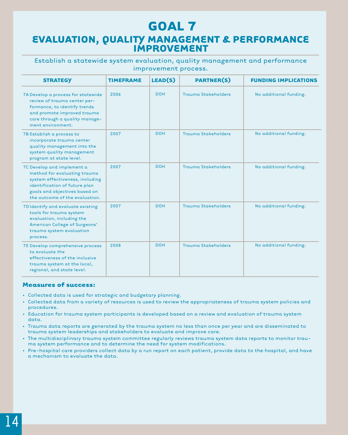### **GOAL 7 EVALUATION, QUALITY MANAGEMENT & PERFORMANCE IMPROVEMENT**

#### Establish a statewide system evaluation, quality management and performance improvement process.

| <b>STRATEGY</b>                                                                                                                                                                                   | <b>TIMEFRAME</b> | LEAD(S)    | <b>PARTNER(S)</b>          | <b>FUNDING IMPLICATIONS</b> |
|---------------------------------------------------------------------------------------------------------------------------------------------------------------------------------------------------|------------------|------------|----------------------------|-----------------------------|
| 7A Develop a process for statewide<br>review of trauma center per-<br>formance, to identify trends<br>and promote improved trauma<br>care through a quality manage-<br>ment environment.          | 2006             | <b>DOH</b> | <b>Trauma Stakeholders</b> | No additional funding.      |
| 7B Establish a process to<br>incorporate trauma center<br>quality management into the<br>system quality management<br>program at state level.                                                     | 2007             | <b>DOH</b> | <b>Trauma Stakeholders</b> | No additional funding.      |
| 7C Develop and implement a<br>method for evaluating trauma<br>system effectiveness, including<br>identification of future plan<br>goals and objectives based on<br>the outcome of the evaluation. | 2007             | <b>DOH</b> | <b>Trauma Stakeholders</b> | No additional funding.      |
| 7D Identify and evaluate existing<br>tools for trauma system<br>evaluation, including the<br>American College of Surgeons'<br>trauma system evaluation<br>process.                                | 2007             | <b>DOH</b> | <b>Trauma Stakeholders</b> | No additional funding.      |
| 7E Develop comprehensive process<br>to evaluate the<br>effectiveness of the inclusive<br>trauma system at the local,<br>regional, and state level.                                                | 2008             | <b>DOH</b> | <b>Trauma Stakeholders</b> | No additional funding.      |

- Collected data is used for strategic and budgetary planning.
- Collected data from a variety of resources is used to review the appropriateness of trauma system policies and procedures.
- Education for trauma system participants is developed based on a review and evaluation of trauma system data.
- Trauma data reports are generated by the trauma system no less than once per year and are disseminated to trauma system leaderships and stakeholders to evaluate and improve care.
- The multidisciplinary trauma system committee regularly reviews trauma system data reports to monitor trauma system performance and to determine the need for system modifications.
- Pre-hospital care providers collect data by a run report on each patient, provide data to the hospital, and have a mechanism to evaluate the data.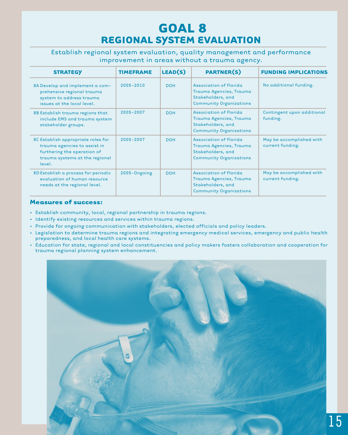### **GOAL 8 REGIONAL SYSTEM EVALUATION**

Establish regional system evaluation, quality management and performance improvement in areas without a trauma agency.

| <b>STRATEGY</b>                                                                                                                               | <b>TIMEFRAME</b> | LEAD(S)    | <b>PARTNER(S)</b>                                                                                               | <b>FUNDING IMPLICATIONS</b>                  |
|-----------------------------------------------------------------------------------------------------------------------------------------------|------------------|------------|-----------------------------------------------------------------------------------------------------------------|----------------------------------------------|
| 8A Develop and implement a com-<br>prehensive regional trauma<br>system to address trauma<br>issues at the local level.                       | $2005 - 2010$    | <b>DOH</b> | <b>Association of Florida</b><br>Trauma Agencies, Trauma<br>Stakeholders, and<br><b>Community Organizations</b> | No additional funding.                       |
| 8B Establish trauma regions that<br>include EMS and trauma system<br>stakeholder groups.                                                      | 2005-2007        | <b>DOH</b> | Association of Florida<br>Trauma Agencies, Trauma<br>Stakeholders, and<br><b>Community Organizations</b>        | Contingent upon additional<br>funding.       |
| 8C Establish appropriate roles for<br>trauma agencies to assist in<br>furthering the operation of<br>trauma systems at the regional<br>level. | 2005-2007        | <b>DOH</b> | <b>Association of Florida</b><br>Trauma Agencies, Trauma<br>Stakeholders, and<br><b>Community Organizations</b> | May be accomplished with<br>current funding. |
| 8D Establish a process for periodic<br>evaluation of human resource<br>needs at the regional level.                                           | 2005-Ongoing     | <b>DOH</b> | Association of Florida<br>Trauma Agencies, Trauma<br>Stakeholders, and<br><b>Community Organizations</b>        | May be accomplished with<br>current funding. |

- Establish community, local, regional partnership in trauma regions.
- Identify existing resources and services within trauma regions.
- Provide for ongoing communication with stakeholders, elected officials and policy leaders.
- Legislation to determine trauma regions and integrating emergency medical services, emergency and public health preparedness, and local health care systems.
- Education for state, regional and local constituencies and policy makers fosters collaboration and cooperation for trauma regional planning system enhancement.

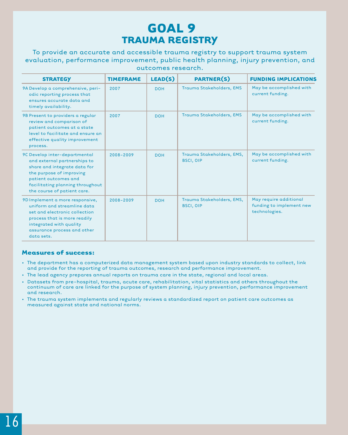### **GOAL 9 TRAUMA REGISTRY**

To provide an accurate and accessible trauma registry to support trauma system evaluation, performance improvement, public health planning, injury prevention, and outcomes research.

| <b>STRATEGY</b>                                                                                                                                                                                                      | <b>TIMEFRAME</b> | LEAD(S)    | <b>PARTNER(S)</b>                             | <b>FUNDING IMPLICATIONS</b>                                         |
|----------------------------------------------------------------------------------------------------------------------------------------------------------------------------------------------------------------------|------------------|------------|-----------------------------------------------|---------------------------------------------------------------------|
| 9A Develop a comprehensive, peri-<br>odic reporting process that<br>ensures accurate data and<br>timely availability.                                                                                                | 2007             | <b>DOH</b> | Trauma Stakeholders, EMS                      | May be accomplished with<br>current funding.                        |
| 9B Present to providers a regular<br>review and comparison of<br>patient outcomes at a state<br>level to facilitate and ensure an<br>effective quality improvement<br>process.                                       | 2007             | <b>DOH</b> | Trauma Stakeholders, EMS                      | May be accomplished with<br>current funding.                        |
| 9C Develop inter-departmental<br>and external partnerships to<br>share and integrate data for<br>the purpose of improving<br>patient outcomes and<br>facilitating planning throughout<br>the course of patient care. | 2008-2009        | <b>DOH</b> | Trauma Stakeholders, EMS,<br><b>BSCI, OIP</b> | May be accomplished with<br>current funding.                        |
| 9D Implement a more responsive,<br>uniform and streamline data<br>set and electronic collection<br>process that is more readily<br>integrated with quality<br>assurance process and other<br>data sets.              | 2008-2009        | <b>DOH</b> | Trauma Stakeholders, EMS,<br><b>BSCI, OIP</b> | May require additional<br>funding to implement new<br>technologies. |

- The department has a computerized data management system based upon industry standards to collect, link and provide for the reporting of trauma outcomes, research and performance improvement.
- The lead agency prepares annual reports on trauma care in the state, regional and local areas.
- Datasets from pre-hospital, trauma, acute care, rehabilitation, vital statistics and others throughout the continuum of care are linked for the purpose of system planning, injury prevention, performance improvement and research.
- The trauma system implements and regularly reviews a standardized report on patient care outcomes as measured against state and national norms.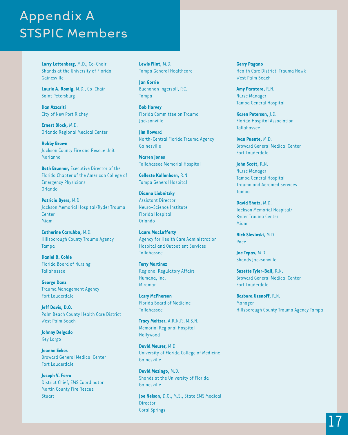# Appendix A STSPIC Members

**Larry Lottenberg,** M.D., Co-Chair Shands at the University of Florida Gainesville

**Laurie A. Romig,** M.D., Co-Chair Saint Petersburg

**Dan Azzariti** City of New Port Richey

**Ernest Block,** M.D. Orlando Regional Medical Center

**Robby Brown** Jackson County Fire and Rescue Unit Marianna

**Beth Brunner, Executive Director of the** Florida Chapter of the American College of Emergency Physicians Orlando

**Patricia Byers,** M.D. Jackson Memorial Hospital/Ryder Trauma **Center** Miami

**Catherine Carrubba,** M.D. Hillsborough County Trauma Agency Tampa

**Daniel B. Coble** Florida Board of Nursing Tallahassee

**George Danz** Trauma Management Agency Fort Lauderdale

**Jeff Davis, D.O.** Palm Beach County Health Care District West Palm Beach

**Johnny Delgado** Key Largo

**Jeanne Eckes** Broward General Medical Center Fort Lauderdale

**Joseph V. Ferra** District Chief, EMS Coordinator Martin County Fire Rescue Stuart

**Lewis Flint,** M.D. Tampa General Healthcare

**Jan Gorrie** Buchanan Ingersoll, P.C. Tampa

**Bob Harvey** Florida Committee on Trauma Jacksonville

**Jim Howard** North-Central Florida Trauma Agency Gainesville

**Warren Jones** Tallahassee Memorial Hospital

**Celleste Kallenborn,** R.N. Tampa General Hospital

**Dianna Liebnitzky** Assistant Director Neuro-Science Institute Florida Hospital Orlando

**Laura MacLafferty** Agency for Health Care Administration Hospital and Outpatient Services Tallahassee

**Terry Martinez** Regional Regulatory Affairs Humana, Inc. Miramar

**Larry McPherson** Florida Board of Medicine Tallahassee

**Tracy Meltzer,** A.R.N.P., M.S.N. Memorial Regional Hospital Hollywood

**David Meurer,** M.D. University of Florida College of Medicine Gainesville

**David Mozingo,** M.D. Shands at the University of Florida Gainesville

**Joe Nelson,** D.O., M.S., State EMS Medical Director Coral Springs

**Gerry Pagano** Health Care District-Trauma Hawk West Palm Beach

**Amy Paratore,** R.N. Nurse Manager Tampa General Hospital

**Karen Peterson,** J.D. Florida Hospital Association Tallahassee

**Ivan Puente,** M.D. Broward General Medical Center Fort Lauderdale

**John Scott,** R.N. Nurse Manager Tampa General Hospital Trauma and Aeromed Services Tampa

**David Shatz,** M.D. Jackson Memorial Hospital/ Ryder Trauma Center Miami

**Rick Slevinski,** M.D. Pace

**Joe Tepas,** M.D. Shands Jacksonville

**Suzette Tyler-Ball,** R.N. Broward General Medical Center Fort Lauderdale

**Barbara Uzenoff,** R.N. Manager Hillsborough County Trauma Agency Tampa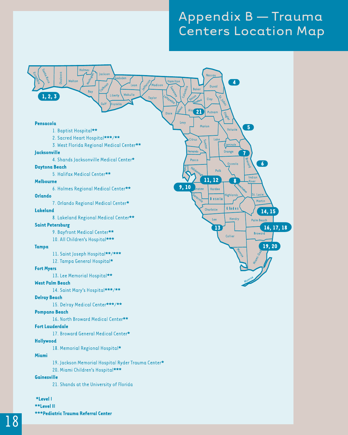# Appendix B — Trauma Centers Location Map



\*Level I \*\*Level II \*\*\*Pediatric Trauma Referral Center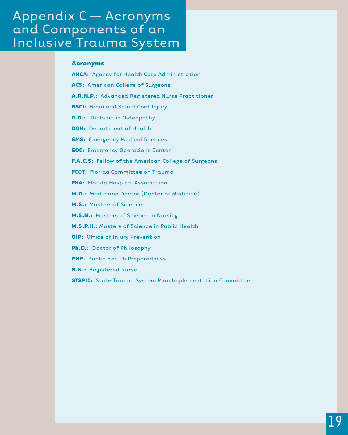# Appendix C — Acronyms and Components of an Inclusive Trauma System

#### **Acronyms**

- **AHCA:** Agency for Health Care Administration
- **ACS:** American College of Surgeons
- **A.R.N.P.:** Advanced Registered Nurse Practitioner
- **BSCI:** Brain and Spinal Cord Injury
- **D.O.:** Diploma in Osteopathy
- **DOH:** Department of Health
- **EMS:** Emergency Medical Services
- **EOC:** Emergency Operations Center
- **F.A.C.S:** Fellow of the American College of Surgeons
- **FCOT:** Florida Committee on Trauma
- **FHA:** Florida Hospital Association
- **M.D.:** Medicinae Doctor (Doctor of Medicine)
- **M.S.:** Masters of Science
- **M.S.N.:** Masters of Science in Nursing
- **M.S.P.H.:** Masters of Science in Public Health
- **OIP:** Office of Injury Prevention
- **Ph.D.:** Doctor of Philosophy
- **PHP:** Public Health Preparedness
- **R.N.:** Registered Nurse
- **STSPIC:** State Trauma System Plan Implementation Committee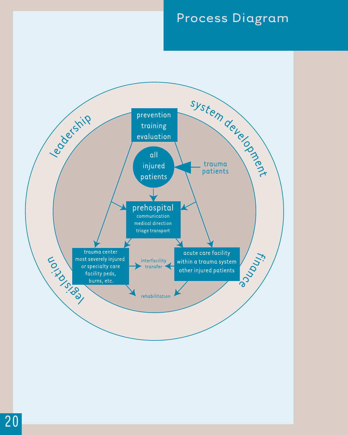# Process Diagram

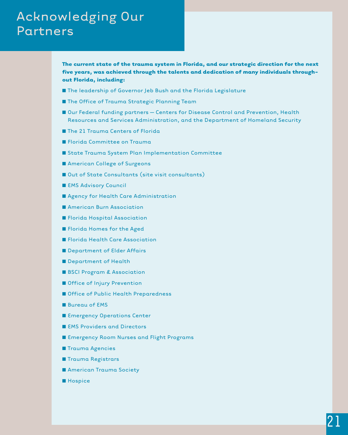# Acknowledging Our Partners

**The current state of the trauma system in Florida, and our strategic direction for the next five years, was achieved through the talents and dedication of many individuals throughout Florida, including:**

- The leadership of Governor Jeb Bush and the Florida Legislature
- The Office of Trauma Strategic Planning Team
- Our Federal funding partners Centers for Disease Control and Prevention, Health Resources and Services Administration, and the Department of Homeland Security
- The 21 Trauma Centers of Florida
- Florida Committee on Trauma
- State Trauma System Plan Implementation Committee
- American College of Surgeons
- Out of State Consultants (site visit consultants)
- EMS Advisory Council
- Agency for Health Care Administration
- **■** American Burn Association
- Florida Hospital Association
- **■** Florida Homes for the Aged
- Florida Health Care Association
- Department of Elder Affairs
- Department of Health
- **BSCI Program & Association**
- Office of Injury Prevention
- **■** Office of Public Health Preparedness
- **■** Bureau of EMS
- Emergency Operations Center
- EMS Providers and Directors
- **■** Emergency Room Nurses and Flight Programs
- **■** Trauma Agencies
- **■** Trauma Registrars
- **■** American Trauma Society
- ■**Hospice**